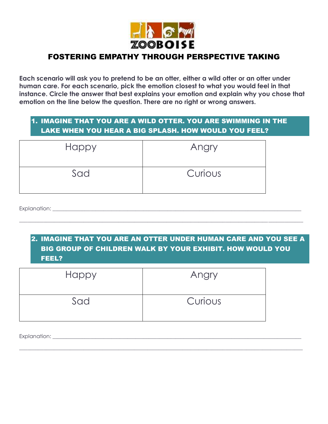

# FOSTERING EMPATHY THROUGH PERSPECTIVE TAKING

**Each scenario will ask you to pretend to be an otter, either a wild otter or an otter under human care. For each scenario, pick the emotion closest to what you would feel in that instance. Circle the answer that best explains your emotion and explain why you chose that emotion on the line below the question. There are no right or wrong answers.**

## 1. IMAGINE THAT YOU ARE A WILD OTTER. YOU ARE SWIMMING IN THE LAKE WHEN YOU HEAR A BIG SPLASH. HOW WOULD YOU FEEL?

| <b>Happy</b> | Angry   |
|--------------|---------|
| Sad          | Curious |

Explanation: \_\_\_\_\_\_\_\_\_\_\_\_\_\_\_\_\_\_\_\_\_\_\_\_\_\_\_\_\_\_\_\_\_\_\_\_\_\_\_\_\_\_\_\_\_\_\_\_\_\_\_\_\_\_\_\_\_\_\_\_\_\_\_\_\_\_\_\_\_\_\_\_\_\_\_\_\_\_\_\_\_\_\_\_\_\_\_\_\_\_\_\_\_

### 2. IMAGINE THAT YOU ARE AN OTTER UNDER HUMAN CARE AND YOU SEE A BIG GROUP OF CHILDREN WALK BY YOUR EXHIBIT. HOW WOULD YOU FEEL?

\_\_\_\_\_\_\_\_\_\_\_\_\_\_\_\_\_\_\_\_\_\_\_\_\_\_\_\_\_\_\_\_\_\_\_\_\_\_\_\_\_\_\_\_\_\_\_\_\_\_\_\_\_\_\_\_\_\_\_\_\_\_\_\_\_\_\_\_\_\_\_\_\_\_\_\_\_\_\_\_\_\_\_\_\_\_\_\_\_\_\_\_\_\_\_\_\_\_\_\_\_\_\_\_\_\_

 $\_$  ,  $\_$  ,  $\_$  ,  $\_$  ,  $\_$  ,  $\_$  ,  $\_$  ,  $\_$  ,  $\_$  ,  $\_$  ,  $\_$  ,  $\_$  ,  $\_$  ,  $\_$  ,  $\_$  ,  $\_$  ,  $\_$  ,  $\_$  ,  $\_$  ,  $\_$  ,  $\_$  ,  $\_$  ,  $\_$  ,  $\_$  ,  $\_$  ,  $\_$  ,  $\_$  ,  $\_$  ,  $\_$  ,  $\_$  ,  $\_$  ,  $\_$  ,  $\_$  ,  $\_$  ,  $\_$  ,  $\_$  ,  $\_$  ,

| Happy | Angry   |
|-------|---------|
| Sad   | Curious |

Explanation:  $\blacksquare$